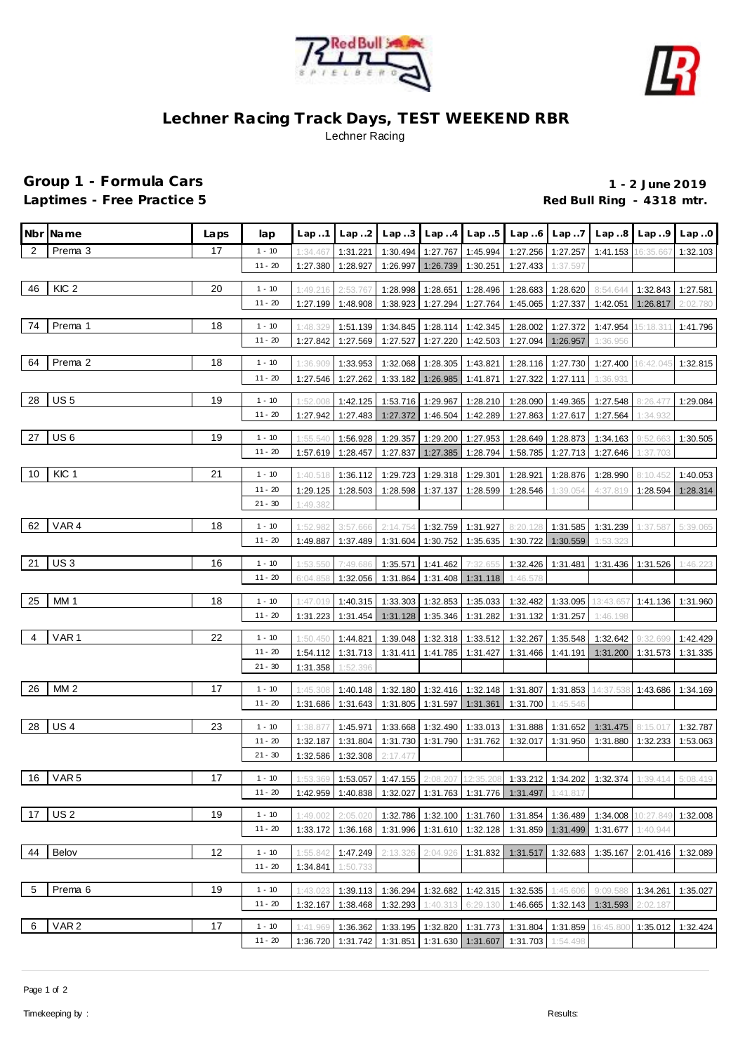



## **Lechner Racing Track Days, TEST WEEKEND RBR** Lechner Racing

## **Group 1 - Formula Cars 1 - 2 June 2019**

Laptimes - Free Practice 5 *Red Bull Ring - 4318 mtr.* **Red Bull Ring - 4318 mtr.** 

|                | Nbr Name         | Laps | lap                  | Lap.1                | Lap.2               | Lap.3                |                      | $Lap. .4$ $Lap. .5$        | Lap.6                      | Lap7                 | Lap.8                                                                                      | Lap.9                | Lap.0                |
|----------------|------------------|------|----------------------|----------------------|---------------------|----------------------|----------------------|----------------------------|----------------------------|----------------------|--------------------------------------------------------------------------------------------|----------------------|----------------------|
| 2              | Prema 3          | 17   | $1 - 10$             | 1:34.467             | 1:31.221            | 1:30.494             | 1:27.767             | 1:45.994                   | 1:27.256                   | 1:27.257             | 1:41.153                                                                                   | 16:35.66             | 1:32.103             |
|                |                  |      | $11 - 20$            | 1:27.380             | 1:28.927            | 1:26.997             | 1:26.739             | 1:30.251                   | 1:27.433                   | 1:37.597             |                                                                                            |                      |                      |
| 46             | KIC <sub>2</sub> | 20   | $1 - 10$             |                      |                     |                      |                      |                            |                            |                      |                                                                                            |                      |                      |
|                |                  |      | $11 - 20$            | 1:49.216<br>1:27.199 | 2:53.76<br>1:48.908 | 1:28.998<br>1:38.923 | 1:28.651<br>1:27.294 | 1:28.496<br>1:27.764       | 1:28.683<br>1:45.065       | 1:28.620<br>1:27.337 | 8:54.644<br>1:42.051                                                                       | 1:32.843<br>1:26.817 | 1:27.581<br>2:02.780 |
|                |                  |      |                      |                      |                     |                      |                      |                            |                            |                      |                                                                                            |                      |                      |
| 74             | Prema 1          | 18   | $1 - 10$             | 1:48.329             | 1:51.139            | 1:34.845             | 1:28.114             | 1:42.345                   | 1:28.002                   | 1:27.372             | 1:47.954                                                                                   | 15:18.31             | 1:41.796             |
|                |                  |      | $11 - 20$            | 1:27.842             | 1:27.569            | 1:27.527             | 1:27.220             | 1:42.503                   | 1:27.094                   | 1:26.957             | 1:36.956                                                                                   |                      |                      |
| 64             | Prema 2          | 18   | $1 - 10$             | 1:36.909             | 1:33.953            | 1:32.068             | 1:28.305             | 1:43.821                   |                            | 1:28.116 1:27.730    | 1:27.400                                                                                   | 16:42.045            | 1:32.815             |
|                |                  |      | $11 - 20$            | 1:27.546             | 1:27.262            | 1:33.182             | 1:26.985             | 1:41.871                   | 1:27.322                   | 1:27.111             | 1:36.931                                                                                   |                      |                      |
|                |                  |      |                      |                      |                     |                      |                      |                            |                            |                      |                                                                                            |                      |                      |
| 28             | US <sub>5</sub>  | 19   | $1 - 10$             | 1:52.008             | 1:42.125            | 1:53.716             | 1:29.967             | 1:28.210                   | 1:28.090                   | 1:49.365             | 1:27.548                                                                                   | 8:26.47              | 1:29.084             |
|                |                  |      | 11 - 20              | 1:27.942             | 1:27.483            | 1:27.372             | 1:46.504             | 1:42.289                   | 1:27.863                   | 1:27.617             | 1:27.564                                                                                   | 1:34.932             |                      |
| 27             | US <sub>6</sub>  | 19   | $1 - 10$             | 1:55.540             | 1:56.928            | 1:29.357             | 1:29.200             | 1:27.953                   | 1:28.649                   | 1:28.873             | 1:34.163                                                                                   | 9:52.66              | 1:30.505             |
|                |                  |      | 11 - 20              | 1:57.619             | 1:28.457            | 1:27.837             | 1:27.385             | 1:28.794                   | 1:58.785                   | 1:27.713             | 1:27.646                                                                                   | 1:37.703             |                      |
| 10             | KIC 1            | 21   | $1 - 10$             |                      |                     |                      |                      |                            |                            |                      |                                                                                            |                      |                      |
|                |                  |      |                      | 1:40.518             | 1:36.112            | 1:29.723             | 1:29.318             | 1:29.301                   | 1:28.921                   | 1:28.876             | 1:28.990                                                                                   | 8:10.452             | 1:40.053             |
|                |                  |      | 11 - 20<br>$21 - 30$ | 1:29.125<br>1:49.382 | 1:28.503            | 1:28.598             | 1:37.137             | 1:28.599                   | 1:28.546                   | 1:39.054             | 4:37.819                                                                                   | 1:28.594             | 1:28.314             |
|                |                  |      |                      |                      |                     |                      |                      |                            |                            |                      |                                                                                            |                      |                      |
| 62             | VAR4             | 18   | $1 - 10$             | 1:52.982             | 3:57.666            | 2:14.754             | 1:32.759             | 1:31.927                   | 8:20.128                   | 1:31.585             | 1:31.239                                                                                   | 1:37.58              | 5:39.065             |
|                |                  |      | $11 - 20$            | 1:49.887             | 1:37.489            | 1:31.604             | 1:30.752             | 1:35.635                   | 1:30.722                   | 1:30.559             | 1:53.323                                                                                   |                      |                      |
| 21             | US <sub>3</sub>  | 16   | $1 - 10$             | 1:53.55              | 7:49.68             | 1:35.571             | 1:41.462             | 7:32.65                    | 1:32.426                   | 1:31.481             | 1:31.436                                                                                   | 1:31.526             | 1:46.223             |
|                |                  |      | $11 - 20$            | 6:04.858             | 1:32.056            | 1:31.864             | 1:31.408             | 1:31.118                   | 1:46.578                   |                      |                                                                                            |                      |                      |
|                |                  |      |                      |                      |                     |                      |                      |                            |                            |                      |                                                                                            |                      |                      |
| 25             | MM <sub>1</sub>  | 18   | $1 - 10$             | 1:47.019             | 1:40.315            | 1:33.303             | 1:32.853             | 1:35.033                   | 1:32.482                   | 1:33.095             | 13:43.657                                                                                  | 1:41.136             | 1:31.960             |
|                |                  |      | $11 - 20$            | 1:31.223             | 1:31.454            | 1:31.128             | 1:35.346             | 1:31.282                   | 1:31.132                   | 1:31.257             | 1:46.198                                                                                   |                      |                      |
| $\overline{4}$ | VAR <sub>1</sub> | 22   | $1 - 10$             | 1:50.450             | 1:44.821            | 1:39.048             | 1:32.318             | 1:33.512                   | 1:32.267                   | 1:35.548             | 1:32.642                                                                                   | 9:32.69              | 1:42.429             |
|                |                  |      | $11 - 20$            | 1:54.112             | 1:31.713            | 1:31.411             |                      | 1:41.785   1:31.427        | 1:31.466                   | 1:41.191             | 1:31.200 1:31.573                                                                          |                      | 1:31.335             |
|                |                  |      | $21 - 30$            | 1:31.358             | 1:52.396            |                      |                      |                            |                            |                      |                                                                                            |                      |                      |
| 26             | MM <sub>2</sub>  | 17   | $1 - 10$             | 1:45.308             | 1:40.148            |                      |                      | 1:32.180 1:32.416 1:32.148 |                            |                      | 1:31.807 1:31.853 14:37.538                                                                | 1:43.686             | 1:34.169             |
|                |                  |      | $11 - 20$            |                      | 1:31.686 1:31.643   | 1:31.805             |                      | 1:31.597   1:31.361        | 1:31.700                   | 1:45.546             |                                                                                            |                      |                      |
|                |                  |      |                      |                      |                     |                      |                      |                            |                            |                      |                                                                                            |                      |                      |
| 28             | US <sub>4</sub>  | 23   | $1 - 10$             | 1:38.877             | 1:45.971            | 1:33.668             | 1:32.490             | 1:33.013                   | 1:31.888                   | 1:31.652             | 1:31.475                                                                                   | 8:15.017             | 1:32.787             |
|                |                  |      | $11 - 20$            | 1:32.187             | 1:31.804            | 1:31.730             |                      | 1:31.790 1:31.762          | 1:32.017                   | 1:31.950             | 1:31.880                                                                                   | 1:32.233             | 1:53.063             |
|                |                  |      | $21 - 30$            | 1:32.586             | 1:32.308            | 2:17.47              |                      |                            |                            |                      |                                                                                            |                      |                      |
|                | 16 VAR 5         | 17   | $1 - 10$             |                      |                     |                      |                      |                            |                            |                      | 1:53.369 1:53.057 1:47.155 2:08.207 12:35.208 1:33.212 1:34.202 1:32.374 1:39.414 5:08.419 |                      |                      |
|                |                  |      | $11 - 20$            | 1:42.959             | 1:40.838            | 1:32.027             |                      |                            | 1:31.763 1:31.776 1:31.497 | 1:41.817             |                                                                                            |                      |                      |
| 17             | US <sub>2</sub>  | 19   | $1 - 10$             | 1:49.002             | 2:05.020            |                      | 1:32.100             |                            | 1:31.854                   | 1:36.489             | 1:34.008                                                                                   | 10:27.849            | 1:32.008             |
|                |                  |      | $11 - 20$            | 1:33.172             | 1:36.168            | 1:32.786<br>1:31.996 | 1:31.610             | 1:31.760<br>1:32.128       | 1:31.859                   | 1:31.499             | 1:31.677                                                                                   | 1:40.944             |                      |
|                |                  |      |                      |                      |                     |                      |                      |                            |                            |                      |                                                                                            |                      |                      |
| 44             | Belov            | 12   | $1 - 10$             | 1:55.842             | 1:47.249            | 2:13.326             | 2:04.926             | 1:31.832                   | 1:31.517                   | 1:32.683             | 1:35.167                                                                                   | 2:01.416             | 1:32.089             |
|                |                  |      | $11 - 20$            | 1:34.841             | 1:50.733            |                      |                      |                            |                            |                      |                                                                                            |                      |                      |
| - 5            | Prema 6          | 19   | $1 - 10$             | 1:43.023             | 1:39.113            | 1:36.294             | 1:32.682             | 1:42.315                   | 1:32.535                   | 1:45.606             | 9:09.588                                                                                   | 1:34.261             | 1:35.027             |
|                |                  |      | $11 - 20$            | 1:32.167             | 1:38.468            | 1:32.293             | 1:40.313             | 6:29.130                   | 1:46.665                   |                      | 1:32.143 1:31.593                                                                          | 2:02.187             |                      |
|                |                  |      |                      |                      |                     |                      |                      |                            |                            |                      |                                                                                            |                      |                      |
| 6              | VAR <sub>2</sub> | 17   | $1 - 10$             | 1:41.969             | 1:36.362            | 1:33.195             | 1:32.820             | 1:31.773                   | 1:31.804                   | 1:31.859             | 16:45.800                                                                                  | 1:35.012             | 1:32.424             |
|                |                  |      | $11 - 20$            | 1:36.720             | 1:31.742            | 1:31.851             |                      | 1:31.630 1:31.607          | 1:31.703                   | 1:54.498             |                                                                                            |                      |                      |